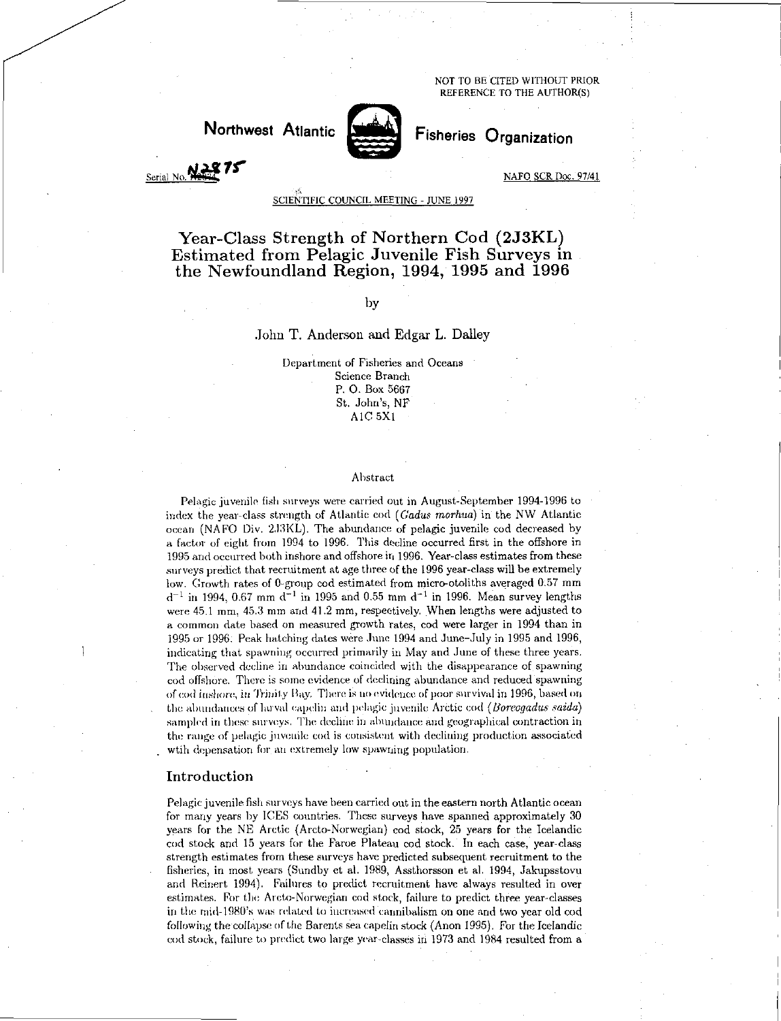NOT TO BE CITED WITHOUT PRIOR REFERENCE TO THE AUTHOR(S)



Northwest Atlantic Fisheries Organization

Serial No. **NAFO** 8CR Doc. 97/41

# SCIENTIFIC COUNCIL MEETING - JUNE 1997

Year-Class Strength of Northern Cod (2J3KL) Estimated from Pelagic Juvenile Fish Surveys in the Newfoundland Region, 1994, 1995 and 1996

# by

# John T. Anderson and Edgar L. Dailey

Department of Fisheries and Oceans Science Branch P. 0. Box 5667 St. John's, NF AIC 5X1

#### Abstract

Pelagic juvenile fish surveys were carried out in August-September 1994-1996 to index the year-class strength of Atlantic cod *(Cadus tnorhua)* in the NW Atlantic ocean (NAFO Div. 2.13KL). The abundance of pelagic juvenile cod decreased by a factor of eight from 1994 to 1996. This decline occurred first in the offshore in 1995 and occurred both inshore and offshore in 1996. Year-class estimates from these surveys predict that recruitment at age three of the 1996 year-class will be extremely low. Growth rates of 0-group cod estimated from micro-otoliths averaged 0.57 mm  $d^{-1}$  in 1994, 0.67 mm  $d^{-1}$  in 1995 and 0.55 mm  $d^{-1}$  in 1996. Mean survey lengths were 45.1 mm, 45.3 mm and 41.2 mm, respectively. When lengths were adjusted to a common date based on measured growth rates, cod were larger in 1994 than in 1995 or 1996: Peak hatching dates were June 1994 and June-July in 1995 and 1996, indicating that spawning occurred primarily in May and June of these three years. The observed decline in abundance coincided with the disappearance of spawning cod offshore. There is some evidence of declining abundance and reduced spawning of cod inshore, in Trinity Bay. There is no evidence of poor survival in 1996, based on the abundances of larval capelin arid pelagic juvenile Arctic cod *(lloreagadus saida)*  sampled in these surveys. The decline in abundance and geographical contraction in the range of pelagic juvenile cod is consistent with declining production associated wtih depensation for an extremely low spawning population.

#### Introduction

Pelagic juvenile fish surveys have been carried out in the eastern north Atlantic ocean for many years by ICES countries. These surveys have spanned approximately 30 years for the NE Arctic (Arcto-Norwegian) cod stock, 25 years for the Icelandic cod stock and 15 years for the Faroe Plateau cod stock. In each case, year-class strength estimates from these surveys have predicted subsequent recruitment to the fisheries, in most years (Sundby et al. 1989, Assthorsson et al. 1994, Jakupsstovu and Reinert 1994). Failures to predict recruitment have always resulted in over estimates. For the Arcto-Norwegian cod stock, failure to predict three year-classes in the mid-1980's was related to increased cannibalism on one and two year old cod following the collapse of the Barents sea capelin stock (Anon 1995). For the Icelandic cod stock, failure to predict two large year-classes in 1973 and 1984 resulted from a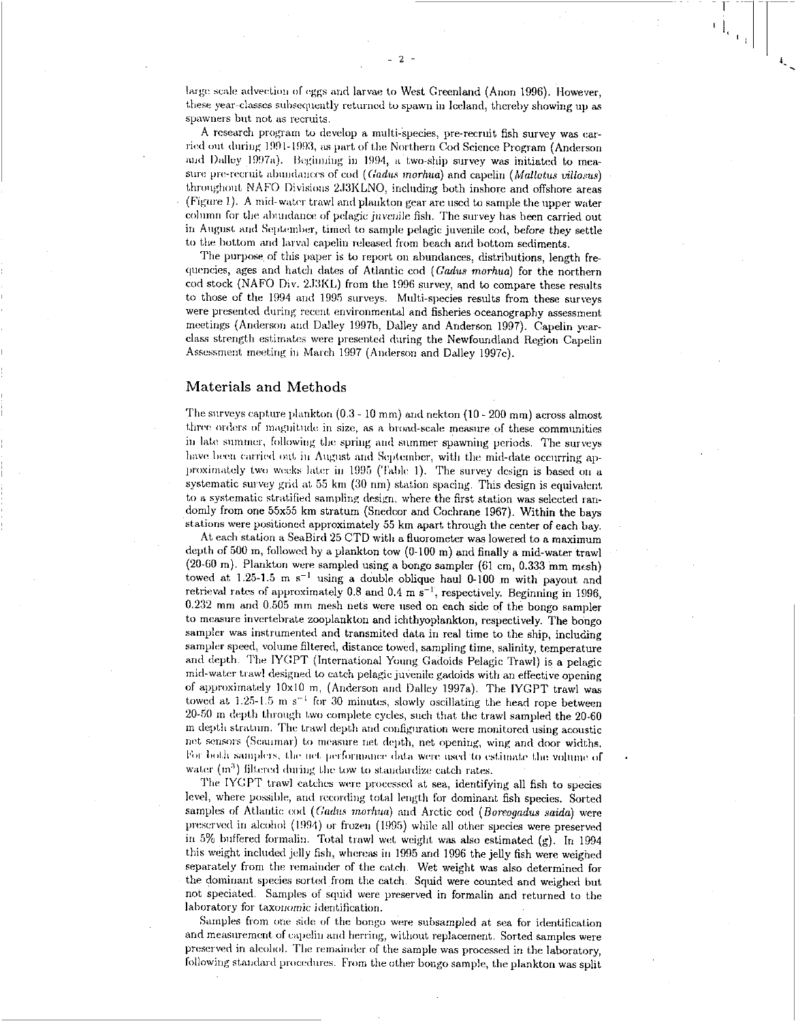large scale advection of eggs and larvae to West Greenland (Anon 1996). However, these year-classes subsequently returned to spawn in Iceland, thereby showing up as spawners but not as recruits.

A research program to develop a multi-Species, pre-recruit fish survey was carried out during 1991-1993, as part of the. Northern Cod Science Program (Anderson and Dailey 1997a). Beginning in 1994, a two-ship survey was initiated to measure pre-recruit abundances of cod *(Codas morhua)* and capelin *(Mallotus villosus)*  throughout NAFO Divisions 2J3KLNO, including both inshore and offshore areas (Figure 1). A mid-water trawl and plankton gear are used to sample the upper water column for the abundance of pelagic juvenile fish. The survey has been carried out in August and September, timed to sample pelagic juvenile cod, before they settle to the bottom and larval capelin released from beach and bottom sediments.

The purpose of this paper is to report on abundances, distributions, length frequencies, ages and hatch dates of Atlantic cod (Gadus morhua) for the northern cod stock (NAFO Div. 2J3KL) from the 1996 survey, and to compare these results to those of the 1994 and 1995 surveys. Multi-species results from these surveys were presented during recent environmental and fisheries oceanography assessment meetings (Anderson and Dailey 1997h, Dailey and Anderson 1997). Capelin yearclass strength estimates were presented during the Newfoundland Region Capelin Assessment meeting in March 1997 (Anderson and Dailey 1997c).

# Materials and Methods

The surveys capture plankton (0.3 - 10 mm) and nekton (10 - 200 mm) across almost three orders of magnitude in size, as a broad-scale measure of these communities in late summer, following the spring and summer spawning periods. The surveys have been carried out in August and September, with the mid-date occurring approximately two weeks later in 1995 (Table 1). The survey design is based on a systematic survey grid at 55 km (30 nm) station spacing. This design is equivalent to a systematic stratified sampling design, where the first station was selected randomly from one 55x55 km stratum (Snedcor and Cochrane 1967). Within the bays stations were positioned approximately 55 km apart through the center of each bay.

At each station a SeaBird 25 CTD with a fluorometer was lowered to a maximum depth of 500 m, followed by a plankton tow (0-100 m) and finally a mid-water trawl (20-60 m). Plankton were sampled using a bongo sampler (61 cm, 0.333 mm mesh) towed at 1.25-1.5 m  $s^{-1}$  using a double oblique haul 0-100 m with payout and retrieval rates of approximately 0.8 and 0.4 m  $s^{-1}$ , respectively. Beginning in 1996, 0.232 mm and 0.505 mm mesh nets were used on each side of the bongo sampler to measure invertebrate zooplankton and ichthyoplankton, respectively. The bongo sampler was instrumented and transmited data in real time to the ship, including sampler speed, volume filtered, distance towed, sampling time, salinity, temperature and depth. The IYGPT (International Young Gadoids Pelagic Trawl) is a pelagic mid-water trawl designed to catch pelagic juvenile gadoids with an effective opening of approximately 10x10 m, (Anderson and Dailey 1997a). The IYGPT trawl was towed at 1.25-1.5 m  $s^{-1}$  for 30 minutes, slowly oscillating the head rope between 20-50 in depth through two complete cycles, such that the trawl sampled the 20-60 depth stratum. The trawl depth and configuration were monitored using acoustic net sensors (Scanmar) to measure net depth, net opening, wing and door widths. For both samplers, the net performance data were used to estimate the volume of water  $(m<sup>3</sup>)$  filtered during the tow to standardize catch rates.

The IYGPT trawl catches were processed at sea, identifying all fish to species level, where possible, and recording total length for dominant fish species. Sorted samples of Atlantic cod *(Uadus morhua)* and Arctic cod *(Boreogadus saida)* were preserved in alcohol (1994) or frozen (1995) while all other species were preserved in 5% buffered formalin. Total trawl wet weight was also estimated (g). In 1994 this weight included jelly fish, whereas in 1995 and 1996 the jelly fish were weighed separately from the remainder of the catch. Wet weight was also determined for the dominant species sorted from the catch. Squid were counted and weighed but not speciated. Samples of squid were preserved in formalin and returned to the laboratory for taxonomic identification. •

Samples from one side of the bongo were subsampled at sea for identification and measurement of capelin arid herring, without replacement. Sorted samples were preserved in alcohol. The remainder of the sample was processed in the laboratory, following standard procedures. From the other bongo sample, the plankton was split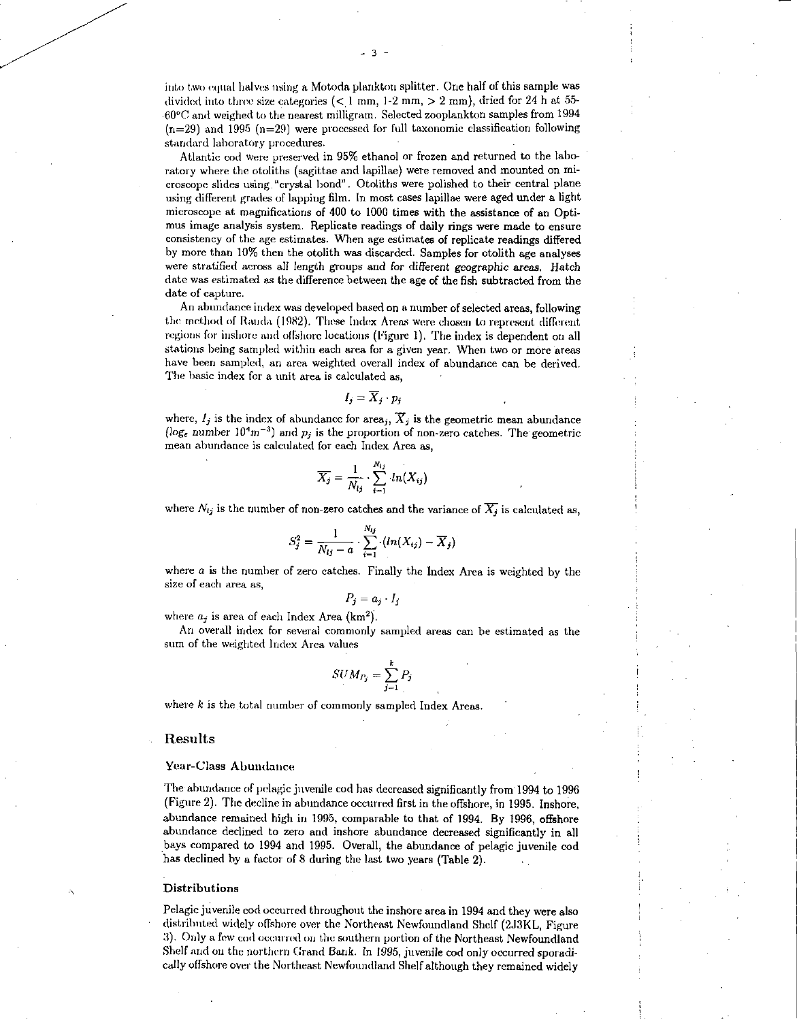into two equal halves using a Motoda plankton splitter. One half of this sample was divided into three size categories  $(< 1 \text{ mm}, 1-2 \text{ mm}, > 2 \text{ mm}$ , dried for 24 h at 55- $-60^{\circ}$ C and weighed to the nearest milligram. Selected zooplankton samples from 1994  $(n=29)$  and 1995  $(n=29)$  were processed for full taxonomic classification following standard laboratory procedures.

Atlantic cod were preserved in 95% ethanol or frozen and returned to the laboratory where the otoliths (sagittae and lapillae) were removed and mounted on microscope slides using "crystal bond". Otoliths were polished to their central plane using different grades of lapping film. In most cases lapillae were aged under a light microscope at magnifications of 400 to 1000 times with the assistance of an Optimus image analysis system. Replicate readings of daily rings were made to ensure consistency of the age estimates. When age estimates of replicate readings differed by more than 10% then the otolith was discarded. Samples for otolith age analyses were stratified across all length groups and for different geographic *areas.* Hatch date was estimated as the difference between the age of the fish subtracted from the date of capture.

An abundance index was developed based on a number of selected areas, following the method of Panda (1982). These Index Areas were chosen to represent different regions for inshore and offshore locations (Figure I). The index is dependent on all stations being sampled within each area for a given year. When two or more areas have been sampled, an area weighted overall index of abundance can be derived. The basic index for a unit area is calculated as,

$$
I_j = \overline{X}_j \cdot p_j
$$

where,  $I_j$  is the index of abundance for area<sub>j</sub>,  $\widetilde{X}_j$  is the geometric mean abundance ( $\log_e$  number 10<sup>4</sup>m<sup>-3</sup>) and  $p_i$  is the proportion of non-zero catches. The geometric mean abundance is calculated for each Index Area as,

$$
\overline{X_j} = \frac{1}{N_{ij}} \cdot \sum_{i=1}^{N_{ij}} ln(X_{ij})
$$

where  $N_{ij}$  is the number of non-zero catches and the variance of  $\overline{X_j}$  is calculated as,

$$
S_j^2 = \frac{1}{N_{lj} - a} \cdot \sum_{i=1}^{N_{lj}} \cdot (ln(X_{ij}) - \overline{X}_j)
$$

where  $\alpha$  is the number of zero catches. Finally the Index Area is weighted by the size of each area as,

$$
P_j = a_j \cdot I_j
$$

where  $a_i$  is area of each Index Area (km<sup>2</sup>).

An overall index for several commonly sampled areas can be estimated as the sum of the weighted Index Area values

$$
SUM_{P_j} = \sum_{j=1}^{k} P_j
$$

where *k* is the total number of commonly sampled Index Areas.

#### Results

#### Year-Class Abundance

The abundance of pelagic juvenile cod has decreased significantly from 1994 to 1996 (Figure 2). The decline in abundance occurred first in the offshore, in 1995. Inshore, abundance remained high in 1995, comparable to that of 1994. By 1996, offshore abundance declined to zero and inshore abundance decreased significantly in all bays compared to 1994 and 1995. Overall, the abundance of pelagic juvenile cod has declined by a factor of 8 during the last two years (Table 2).

#### Distributions

Pelagic juvenile cod occurred throughout the inshore area in 1994 and they were also distributed widely offshore over the Northeast Newfoundland Shelf (2J3KL, Figure 3). Only a few cod occurred on the southern portion of the Northeast Newfoundland Shelf and on the northern Grand Bank. In 1995, juvenile cod only occurred sporadically offshore over the Northeast Newfoundland Shelf although they remained widely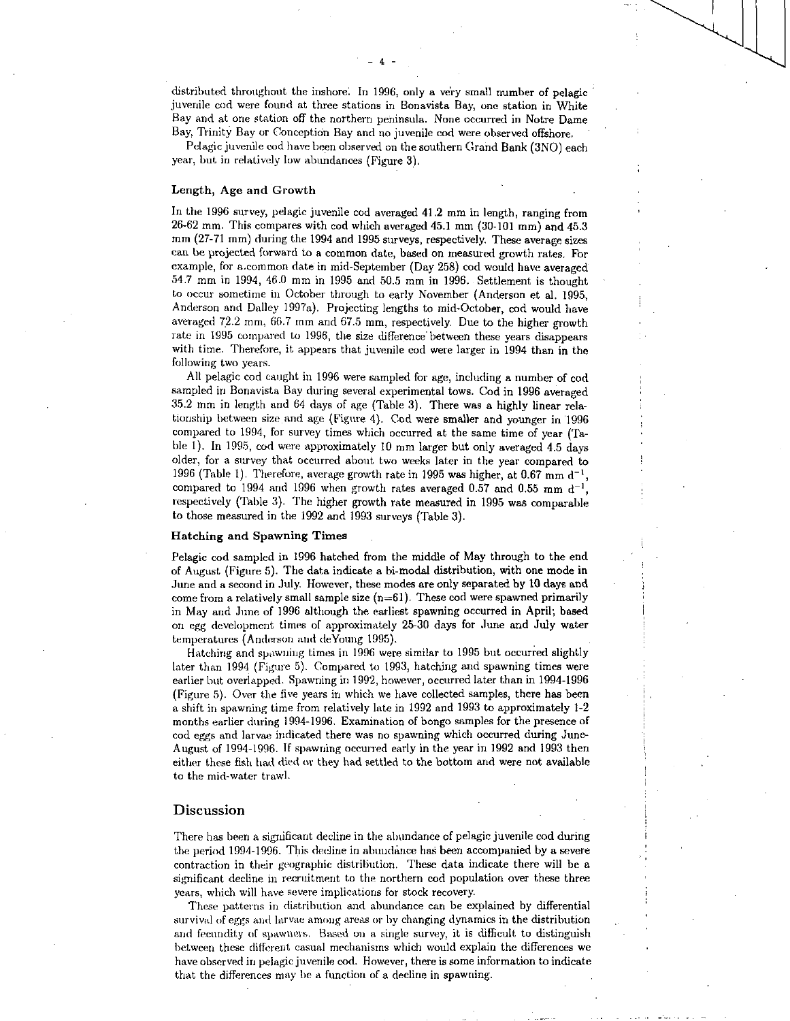distributed throughout the inshore. In 1996, only a very small number of pelagic juvenile cod were found at three stations in Bonavista Bay, one station in White Bay and at one station off the northern peninsula. None occurred in Notre Dame Bay, Trinity Bay or Conception Bay and no juvenile cod were observed offshore,

Pelagic juvenile cod have been observed on the southern Grand Bank (3N0) each year, but in relatively low abundances (Figure 3).

#### Length, Age and Growth

In the 1996 survey, pelagic juvenile cod averaged 41.2 mm in length, ranging from 26-62 mm. This compares with cod which averaged 45.1 mm (30-101 mm) and 45.3 mm (27-71 mm) during the 1994 and 1995 surveys, respectively. These average sizes can be projected forward to a common date, based on measured growth rates. For example, for a common date in mid-September (Day 258) cod would have averaged 59.7 mm in 1994, 46.0 mm in 1995 and 50.5 mm in 1996. Settlement is thought to occur sometime in October through to early November (Anderson et al. 1995, Anderson and Dailey 1997a). Projecting lengths to mid-October, cod would have averaged 72.2 mm, 66.7 mm and 67.5 mm, respectively. Due to the higher growth rate in 1995 compared to 1996, the size difference between these years disappears with time. Therefore, it appears that juvenile cod were larger in 1994 than in the following two years.

All pelagic cod caught in 1996 were sampled for age, including a number of cod sampled in Bonavista Bay during several experimental tows. Cod in 1996 averaged 35.2 mm in length and 64 days of age (Table 3). There was a highly linear relationship between size and age (Figure 4). Cod were smaller and younger in 1996 compared to 1994, for survey times which occurred at the same time of year (Table I). In 1995, cod were approximately 10 mm larger but only averaged 4.5 days older, for a survey that occurred about two weeks later in the year compared to 1996 (Table 1). Therefore, average growth rate in 1995 was higher, at 0.67 mm d<sup>-1</sup>, compared to 1994 and 1996 when growth rates averaged 0.57 and 0.55 mm  $d^{-1}$ . respectively (Table 3). The higher growth rate measured in 1995 was comparable to those measured in the 1992 and 1993 surveys (Table 3).

#### Hatching and Spawning Times

Pelagic cod sampled in 1996 hatched from the middle of May through to the end of August (Figure 5). The data indicate a bi-modal distribution, with one mode in June and a second in July. However, these modes are only separated by 10 days and come from a relatively small sample size  $(n=61)$ . These cod were spawned primarily in May and June of 1996 although the earliest spawning occurred in April; based on egg development times of approximately 25-30 days for June and July water temperatures (Anderson and deYoung 1995).

Hatching and spawning times in 1996 were similar to 1995 but occurred slightly later than 1994 (Figure 5). Compared to 1993, hatching and spawning times were earlier but overlapped. Spawning in 1992, however, occurred later than in 1994-1996 (Figure 5). Over the five years in which we have collected samples, there has been a shift in spawning time from relatively late in 1992 and 1993 to approximately 1-2 months earlier during 1994-1996. Examination of bongo samples for the presence of cod eggs and larvae indicated there was no spawning which occurred during June-August of 1994-1996. If spawning occurred early in the year in 1992 and 1993 then either these fish had died or they had settled to the bottom and were not available to the mid-water trawl.

#### Discussion

There has been a significant decline in the abundance of pelagic juvenile cod during the period 1994-1996. This decline in abundance has been accompanied by a severe contraction in their geographic distribution. These data indicate there will be a significant decline in recruitment to the northern cod population over these three years, which will have severe implications for stock recovery.

These patterns in distribution and abundance can be explained by differential survival of eggs and larvae among areas or by changing dynamics in the distribution and fecundity of spawners. Based on a single survey, it is difficult to distinguish between these different casual mechanisms which would explain the differences we have observed in pelagic juvenile cod. However, there is some information to indicate that the differences may be a function of a decline in spawning.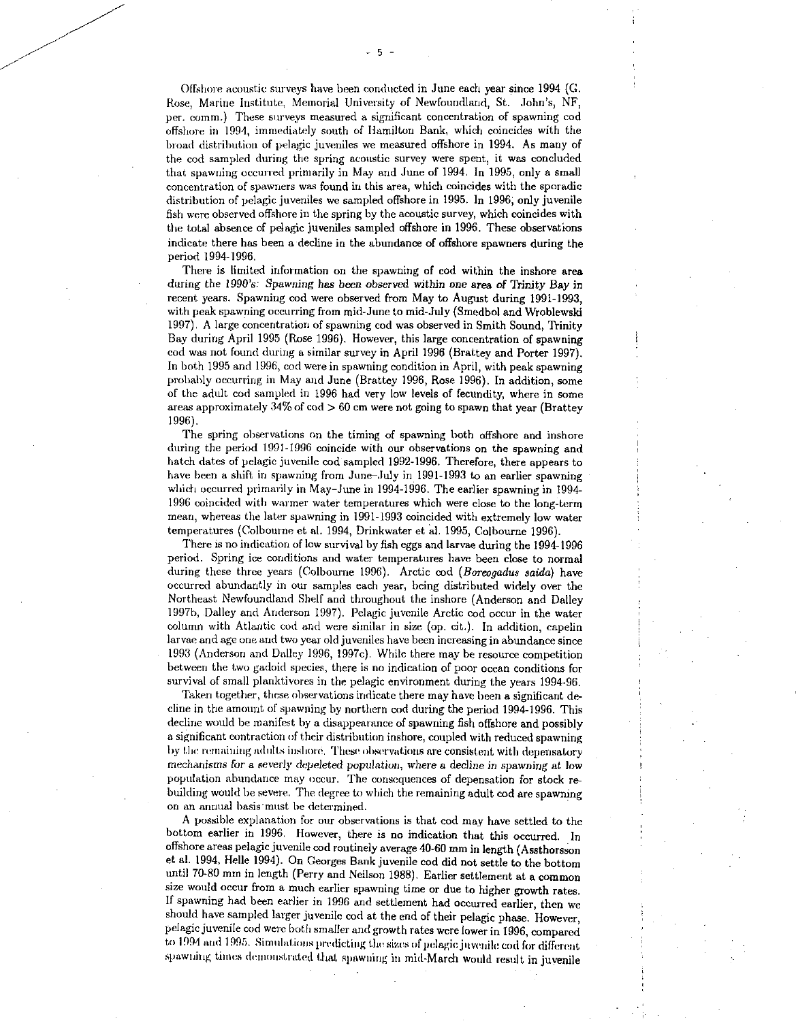Offshore acoustic surveys have been conducted in June each year since 1994 (G. Rose, Marine Institute, Memorial University of Newfoundland, St. John's, NF, per. comm.) These surveys measured a significant concentration of spawning cod offshore in 1994, immediately south of Hamilton Bank, which coincides with the broad distribution of pelagic juveniles we measured offshore in 1994. As many of the cod sampled during the spring acoustic survey were spent, it was concluded that spawning occurred primarily in May and June of 1994. In 1995, only a small concentration of spawners was found in this area, which coincides with the sporadic distribution of pelagic juveniles we sampled offshore in 1995. In 1996; only juvenile fish were observed offshore in the spring by the acoustic survey, which coincides with the total absence of pelagic juveniles sampled offshore in 1996. These observations indicate there has been a decline in the abundance of offshore spawners during the period 1994-1996.

There is limited information on the spawning of cod within the inshore area during the 1990's: *Spawning has* been observed within one area *of* Trinity Bay in recent years. Spawning cod were observed from May to August during 1991-1993, with peak spawning occurring from mid-June to mid-July (Smedbol and Wroblewski 1997). A large concentration of spawning cod was observed in Smith Sound, Trinity Bay during April 1995 (Rose 1996). However, this large concentration of spawning cod was not found during a similar survey in April 1996 (Brattey and Porter 1997). In both 1995 and 1996, cod were in spawning condition in April, with peak spawning probably occurring in May and June (Brattey 1996, Rose 1996). In addition, some of the adult cod sampled in 1996 had very low levels of fecundity, where in some areas approximately  $34\%$  of  $\cot > 60$  cm were not going to spawn that year (Brattey 1996).

The spring observations on the timing of spawning both offshore and inshore during the period 1991-1996 coincide with our observations on the spawning and hatch dates of pelagic juvenile cod sampled 1992-1996. Therefore, there appears to have been a shift in spawning from June-July in 1991-1993 to an earlier spawning which occurred primarily in May-June in 1994-1996. The earlier spawning in 1994- 1996 coincided with warmer water temperatures which were close to the long-term mean, whereas the later spawning in 1991-1993 coincided with extremely low water temperatures (Colbourne et al. 1994, Drinkwater et al. 1995, Colbourne 1996).

There is no indication of low survival by fish eggs and larvae during the 1994-1996 period. Spring ice conditions and water temperatures have been close to normal during these three years (Colbourne 1996). Arctic cod *(flareogadus saida)* have occurred abundantly in our samples each year, being distributed widely over the Northeast Newfoundland Shelf and throughout the inshore (Anderson and Dailey 1997b, Dailey and Anderson 1997). Pelagic juvenile Arctic cod occur in the water column with Atlantic cod and were similar in size (op. cit.). In addition, capelin larvae and age one and two year old juveniles have been increasing in abundance since 1993 (Anderson and Dailey 1996, 1997c). While there may be resource competition between the two gadoid species, there is no indication of poor ocean conditions for survival of small planktivores in the pelagic environment during the years 1994-96.

Taken together, these observations indicate there may have been a significant decline in the amount *of* spawning by northern cod during the period 1994-1996. This decline would be manifest by a disappearance of spawning fish offshore and possibly a significant contraction of their distribution inshore, coupled with reduced spawning by the remaining adults inshore. These observations are consistent with depensatory mechanisms for a sever/y depeleted population, where a decline in spawning at low population abundance may occur. The consequences of depensation for stock rebuilding would be severe. The degree to which the remaining adult cod are spawning on an annual basis must be determined.

A possible explanation for our observations is that cod may have settled to the bottom earlier in 1996. However, there is no indication that this occurred. In offshore areas pelagic juvenile cod routinely average 40-60 mm in length (Assthorsson et al. 1994, Belle 1994). On Georges Bank juvenile cod did not settle to the bottom until 70-80 mm in length (Perry and Neilson 1988). Earlier settlement at a common size would occur from a much earlier spawning time or due to higher growth rates. If spawning had been earlier in 1996 and settlement had occurred earlier, then we should have sampled larger juvenile cod at the end of their pelagic phase. However, pelagic juvenile cod were both smaller and growth rates were lower in 1996, compared to 1994 and 1995. Simulations predicting the sizes of pelagic juvenile cod for different spawning times demonstrated that spawning in mid-March would result in juvenile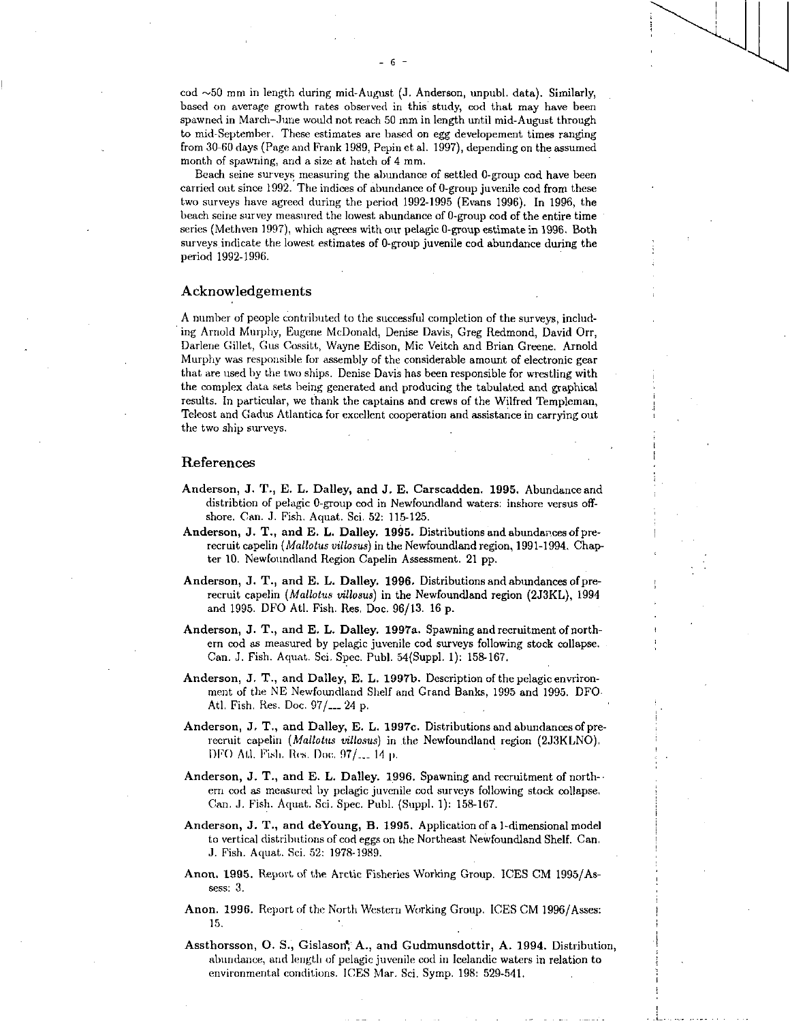Beach seine surveys measuring the abundance of settled 0-group cod have been carried out since 1992. The indices of abundance of 0-group juvenile cod from these two surveys have agreed during the period 1992-1995 (Evans 1996). In 1996, the beach seine survey measured the lowest abundance of 0-group cod of the entire time series (Methven 1997), which agrees with our pelagic 0-group estimate in 1996. Both surveys indicate the lowest estimates of 0-group juvenile cod abundance during the period 1992-1996.

### Acknowledgements

A number of people contributed to the successful completion of the surveys, including Arnold Murphy, Eugene McDonald, Denise Davis, Greg Redmond, David Orr, Darlene Gillet, Gus Cossitt, Wayne Edison, Mic Veitch and Brian Greene. Arnold Murphy was responsible for assembly of the considerable amount of electronic gear that are used by the two ships. Denise Davis has been responsible for wrestling with the complex data sets being generated and producing the tabulated and graphical results. In particular, we thank the captains and crews of the Wilfred Templeman, Teleost and Gadus Atlantica for excellent cooperation and assistance in carrying out the two ship surveys.

### References

- Anderson, J. T., E. L. Dalley, and J. E. Carscadden. 1995. Abundance and distribtion of pelagic 0-group cod in Newfoundland waters: inshore versus offshore. Can. J. Fish. Aquat. Sci. 52: 115-125.
- Anderson, J. T., and E. **L.** Dailey. 1995. Distributions and abundances of prerecruit capelin *(Mallotus villosus)* in the Newfoundland region, 1991-1994. Chapter 10. Newfoundland Region Capelin Assessment. 21 pp.
- Anderson, J. T., and E. L. Dailey. 1996. Distributions and abundances of prerecruit capelin *(Mallotus villosus)* in the Newfoundland region (2J3KL), 1994 and 1995. DFO Atl. Fish. Res. Doc. 96/13. 16 p.
- Anderson, J. T., and E. L. Dailey. 1997a. Spawning and recruitment of northern cod as measured by pelagic juvenile cod surveys following stock collapse. Can. J. Fish. Aquat. Sci. Spec. Publ. 54(Suppl. 1): 158-167.
- Anderson, J. T., and Dailey, E. L. 1997b. Description of the pelagic envrironment of the NE Newfoundland Shelf and Grand Banks, 1995 and 1995. DFO Atl. Fish. Res. Doc. 97/\_\_\_ 24 p.
- Anderson, J, T., and Dailey, E. L. 1997c. Distributions and abundances of prerecruit capelin *(Mallotus villosus)* in the Newfoundland region (2J3KLNO). DFO All. Fisk Res. Doc, 97/\_\_\_ 14 p.
- Anderson, J. T., and E. L. Dailey. 1996. Spawning and recruitment of northern cod as measured by pelagic juvenile cod surveys following stock collapse. Can. J. Fish. Aquat. Sci. Spec. Publ. (Suppl. 1): 158-167.
- Anderson, J. T., and deYoung, **B.** 1995. Application of a 1 -dimensional model to vertical distributions of cod eggs on the Northeast Newfoundland Shelf. Can. J. Fish. Aquat. Sci. 52: 1978-1989.
- Anon. 1995. Report of the Arctic Fisheries Working Group. ICES CM 1995/Assess: 3.
- Anon. 1996. Report of the North Western Working Group. ICES CM 1996/Asses: 15.
- Assthorsson, O. S., Gislason; A., and Gudmunsdottir, A. 1994. Distribution, abundance, and length of pelagic juvenile cod in Icelandic waters in relation to environmental conditions. ICES Mar. Sci. Symp. 198: 529-541.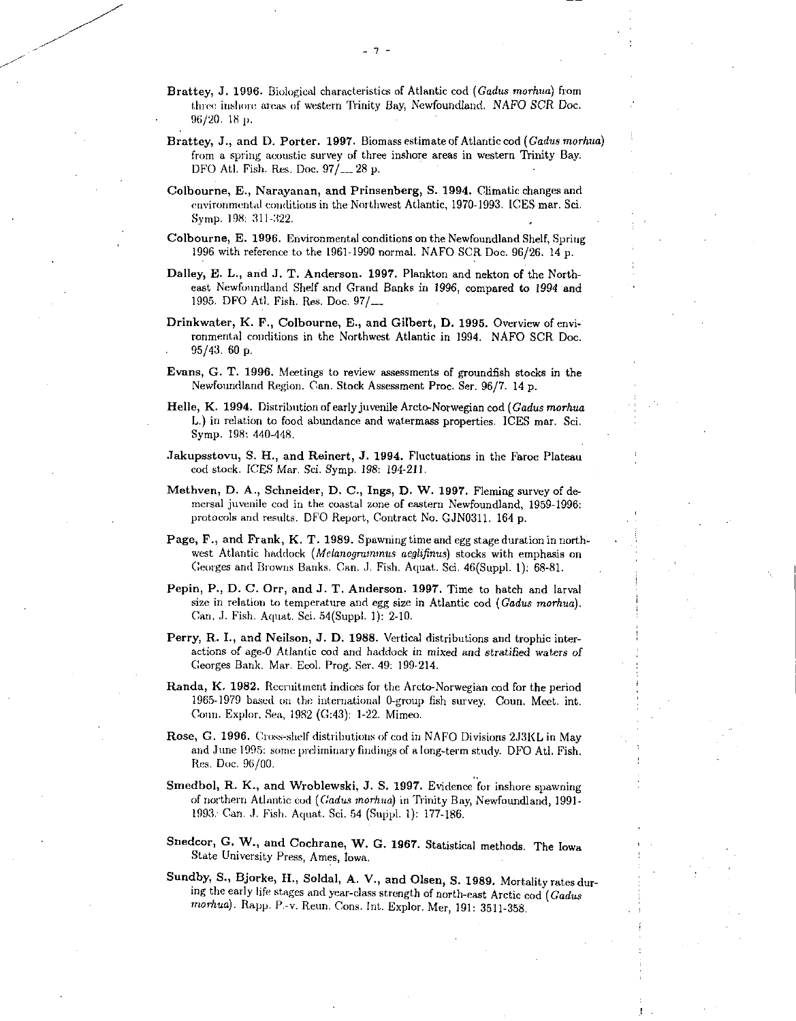- Brattey, J. 1996. Biological characteristics of Atlantic cod *(Gadus morhua)* from three inshore areas of western Trinity Bay, Newfoundland. NAFO SCR Doc. 96/20. 18 p.
- **Brattey, J., and D. Porter. 1997.** Biomass estimate of Atlantic cod *(Gadus morhua)*  from a spring acoustic survey of three inshore areas in western Trinity Bay. DFO Atl. Fish. Res. Doc. 97/\_\_ 28 p.
- **Colbourne, E., Narayanan, and Prinsenberg, S. 1994.** Climatic changes and environmental conditions in the Northwest Atlantic, 1970-1993. ICES mar. Sci. Symp. 198: 311-322.
- **Colbourne, E. 1996.** Environmental conditions on the Newfoundland Shelf, Spring 1996 with reference to the 1961-1990 normal. NAFO SCR Doc. 96/26. 14 p.
- **Dailey, E. L., and J. T. Anderson. 1997.** Plankton and nekton of the Northeast Newfoundland Shelf and Grand Banks in 1996, compared to 1994 and 1995. DFO Atl. Fish. Res. Doc. 97/\_\_\_
- **Drinkwater, K. K, Colbourne, E., and Gilbert, D. 1995,** Overview of environmental conditions in the Northwest Atlantic in 1994. NAFO SCR Doc. . 95/43. 60 p.
- **Evans, G. T. 1996.** Meetings to review assessments of groundfish stocks in the Newfoundland Region. Can. Stock Assessment Proc. Ser. 96/7. 14 p.
- **Belle, K. 1994.** Distribution of early juvenile Arcto-Norwegian cod (Gadus morhua L.) in relation to food abundance and watermass properties. ICES mar. Sci. Symp. 198: 440-448.
- **Jakupsstovu, S. H., and Reinert, J. 1994.** Fluctuations in the Faroe Plateau cod stock. ICES Mar. Sci. Symp. 198: 194-211.
- **Methven, D. A., Schneider, D. C., Ings, D. W. 1997.** Fleming survey of demersal juvenile cod in the coastal zone of eastern Newfoundland, 1959-1996: protocols and results. DFO Report, Contract No. GJNO311. 164 p.
- **Page, F., and Frank, K. T. 1989.** Spawning time and egg stage duration in northwest Atlantic haddock (Melanogrammus aeglifinus) stocks with emphasis on Georges and Browns Banks. Can. J. Fish. Aquat. Sci. 46(Suppl. 1): 68-81.
- Pepin, P., D. C. Orr, and J. T. Anderson. 1997. Time to hatch and larval size in relation to temperature and egg size in Atlantic cod *(Gadus morhua).*  Can. J. Fish. Aquat. Sci. 54(Suppl. 1): 2-10.
- **Perry, R. I., and Neilson, J. D. 1988.** Vertical distributions and trophic interactions of age-0 Atlantic cod and haddock in mixed and stratified waters *of*  Georges Bank. Mar. Ecol. Prog. Ser. 49: 199-214.
- **Randa, K. 1982.** Recruitment indices for the Arcto-Norwegian cod for the period 1965-1979 based on the international 0-group fish survey. Conn. Meet. int. Coon. Explor, Sea, 1982 (G:43): 1-22. Mimeo.
- **Rose, G. 1996.** Cross-shelf distributions of cod in NAFO Divisions 2J3KL in May and June 1995: some preliminary findings of a long-term study. DFO Atl. Fish. Res. Doc. 96/00.
- **Smedbol, R. K., and Wroblewski, J. S. 1997.** Evidence for inshore spawning of northern Atlantic cod *(Gadus morhua)* in Trinity Bay, Newfoundland, 1991- 1993: Can. J. Fish. Aquat. Sci. 54 (Suppl. 1): 177-186.
- **Snedcor, G. W., and Cochrane, W. G. 1967.** Statistical methods. The Iowa State University Press, Ames, Iowa.
- **Sundby, S., Bjorke, H., Soldal, A. V., and Olsen, S. 1989.** Mortality rates during the early life stages and year-class strength of north-east Arctic cod *(Gadus*  morhua). Rapp. P.-v. Reun. Cons. Int. Explor. Mer, 191: 3511-358.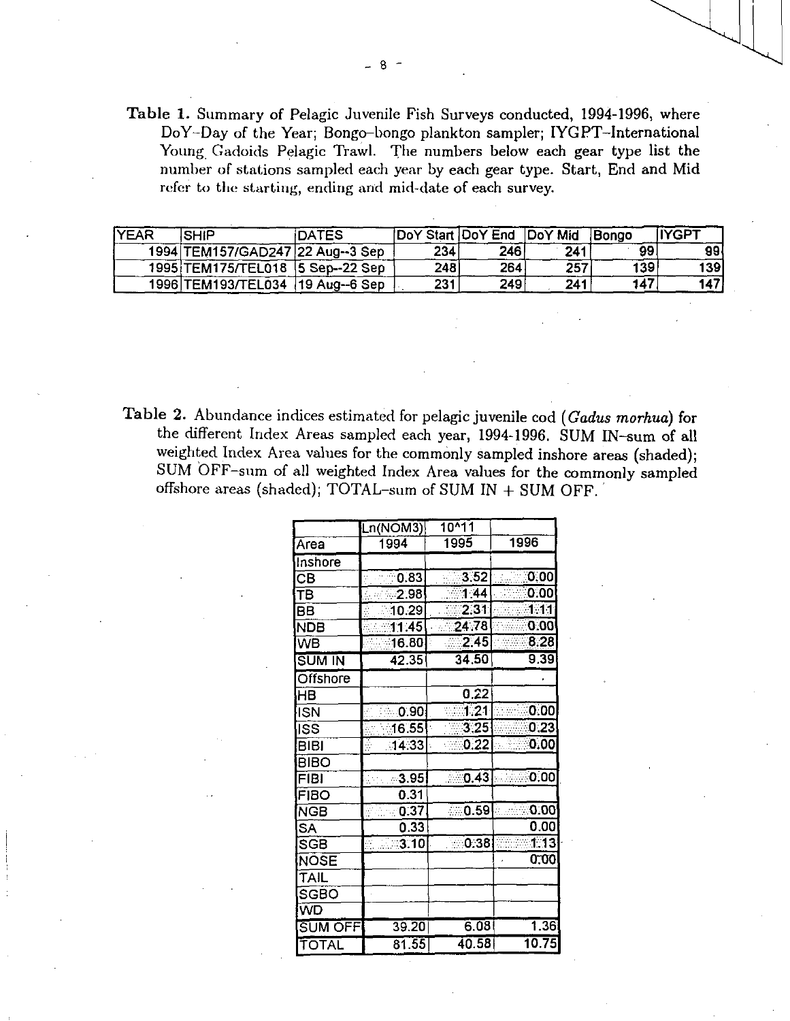Table 1. Summary of Pelagic Juvenile Fish Surveys conducted, 1994-1996, where DoY-Day of the Year; Bongo-bongo plankton sampler; IYGPT-International Young, Gadoids Pelagic Trawl. The numbers below each gear type list the number of stations sampled each year by each gear type. Start, End and Mid refer to the starting, ending and mid-date of each survey.

| <b>IYEAR</b> | <b>SHIP</b>                      | iDATES |      | DoY Start DoY End DoY Mid |     | Bongo | <b>IIYGPT</b> |
|--------------|----------------------------------|--------|------|---------------------------|-----|-------|---------------|
|              | 1994 TEM157/GAD247 22 Aug--3 Sep |        | 234  | 246                       | 241 | 99    | 991           |
|              | 1995 TEM175/TEL018 5 Sep--22 Sep |        | 2481 | 264                       | 257 | 139   | 1391          |
|              | 1996 TEM193/TEL034 19 Aug--6 Sep |        | 231  | 249                       | 241 | 147   | 147           |

Table 2. Abundance indices estimated for pelagic juvenile cod *(Cadus morhua)* for the different Index Areas sampled each year, 1994-1996. SUM IN-sum of all weighted Index Area values for the commonly sampled inshore areas (shaded); SUM OFF-sum of all weighted Index Area values for the commonly sampled offshore areas (shaded); TOTAL-sum of SUM IN + SUM OFF.

|                          | Ln(NOM3) | $10^{11}$          |                   |  |
|--------------------------|----------|--------------------|-------------------|--|
| Area                     | 1994     | 1995               | 1996              |  |
| Inshore                  |          |                    |                   |  |
| $\overline{\mathsf{CB}}$ | 0.83     | 3.52               | 0.00              |  |
| Ŧв                       | 2.98     | $\overline{11}$ 44 | 0.00              |  |
| <b>BB</b>                | 10.29    | $\overline{2.31}$  | 1.11              |  |
| <b>NDB</b>               | 11:45    | $-24.78$           | 0.00              |  |
| WB                       | 16.80    | $\overline{2.45}$  | 8.28              |  |
| SUM IN                   | 42.35    | 34.50              | $9.\overline{39}$ |  |
| <b>Offshore</b>          |          |                    |                   |  |
| HВ                       |          | 0.22               |                   |  |
| <b>ISN</b>               | ∴0.90    | 1.21               | 0.00              |  |
| <b>ISS</b>               | [16.55]  | $\overline{3,25}$  | 0.23              |  |
| <b>BIBI</b>              | .14.33   | 0.22               | 0.00              |  |
| <b>BIBO</b>              |          |                    |                   |  |
| FIBI                     | 3.95     | 0.43               | 0.00              |  |
| <b>FIBO</b>              | 0.31     |                    |                   |  |
| <b>NGB</b>               | 0.37     | <b>0.59</b>        | 0.00              |  |
| <b>SA</b>                | 0.33     |                    | 0.00              |  |
| SGB                      | 3.10     | 0.38               | 1.13              |  |
| NOSE                     |          |                    | 0,00              |  |
| TAIL                     |          |                    |                   |  |
| SGBO                     |          |                    |                   |  |
| WD                       |          |                    |                   |  |
| SUM OFF                  | 39.20    | 6.08               | 1.36              |  |
| TOTAL                    | 81.55    | 40.58              | 10.75             |  |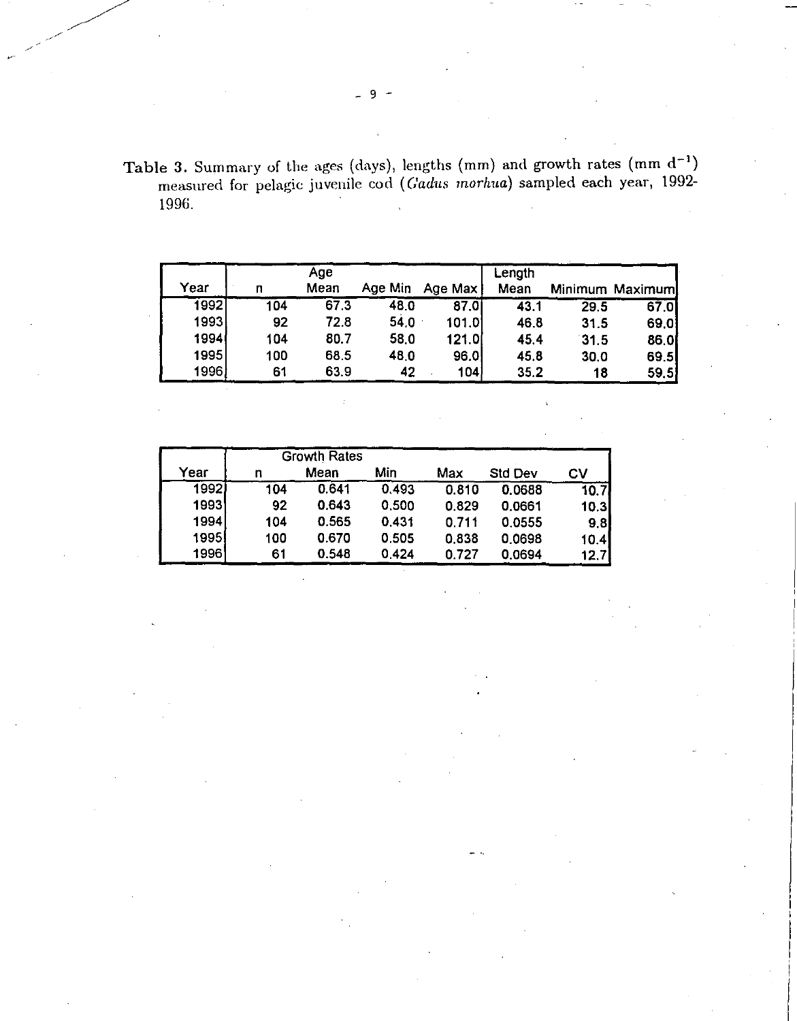Table 3. Summary of the ages (days), lengths (mm) and growth rates (mm  $d^{-1}$ ) measured for pelagic juvenile cod *((Aldus inorhua)* sampled each year, 1992- 1996.

| Year |     | Age<br>Mean | Age Min | Age Max | Length<br>Mean |      | Minimum Maximum |
|------|-----|-------------|---------|---------|----------------|------|-----------------|
| 1992 | 104 | 67.3        | 48.0    | 87.0    | 43.1           | 29.5 | 67.0            |
| 1993 | 92  | 72.8        | 54.0    | 101.01  | 46.8           | 31.5 | 69.0            |
| 1994 | 104 | 80.7        | 58.0    | 121.0   | 45.4           | 31.5 | 86.0            |
| 1995 | 100 | 68.5        | 48.0    | 96.0    | 45.8           | 30.0 | 69.5            |
| 1996 | 61  | 63.9        | 42      | 104     | 35.2           | 18   | 59.5            |

|       | <b>Growth Rates</b> |       |       |       |         |      |  |  |
|-------|---------------------|-------|-------|-------|---------|------|--|--|
| Year  | n                   | Mean  | Min   | Max   | Std Dev | CV   |  |  |
| 19921 | 104                 | 0.641 | 0.493 | 0.810 | 0.0688  | 10.7 |  |  |
| 1993  | 92                  | 0.643 | 0,500 | 0.829 | 0.0661  | 10.3 |  |  |
| 1994  | 104                 | 0.565 | 0.431 | 0.711 | 0.0555  | 9.8  |  |  |
| 19951 | 100                 | 0.670 | 0.505 | 0.838 | 0.0698  | 10.4 |  |  |
| 1996  | 61                  | 0.548 | 0.424 | 0.727 | 0.0694  | 12.7 |  |  |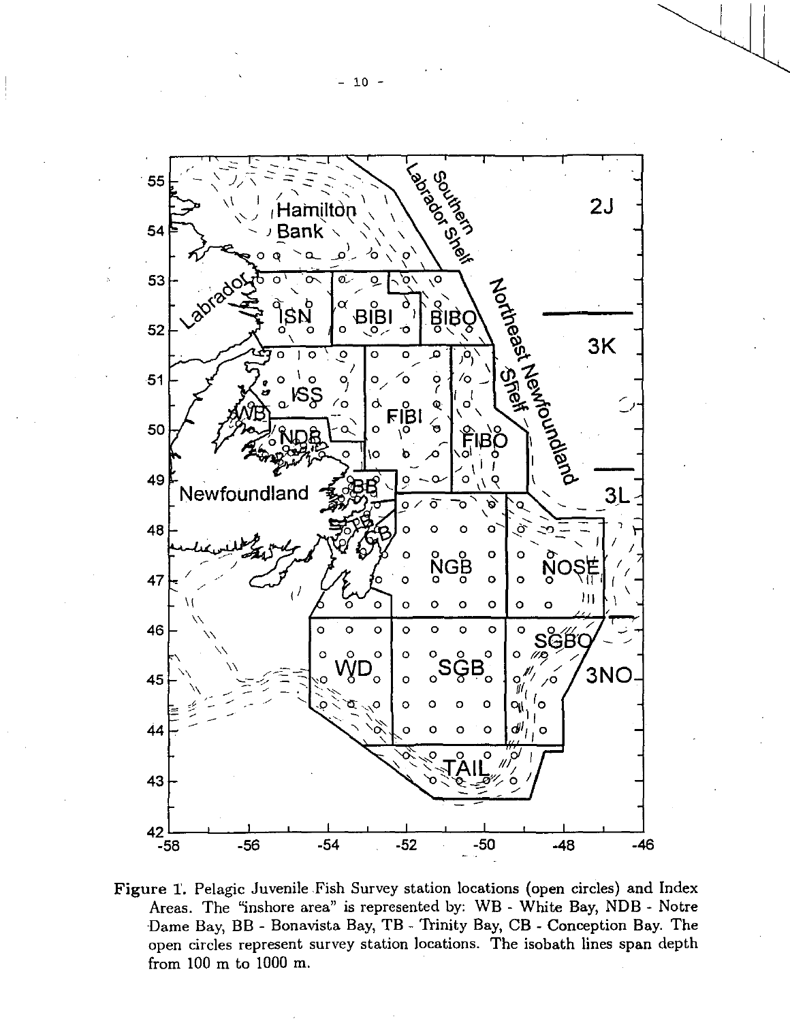

Figure 1. Pelagic Juvenile Fish Survey station locations (open circles) and Index Areas. The "inshore area" is represented by: WB - White Bay, NDB - Notre Dame Bay, BB - Bonavista Bay, TB - Trinity Bay, CB - Conception Bay. The open circles represent survey station locations. The isobath lines span depth from 100 m to 1000 m.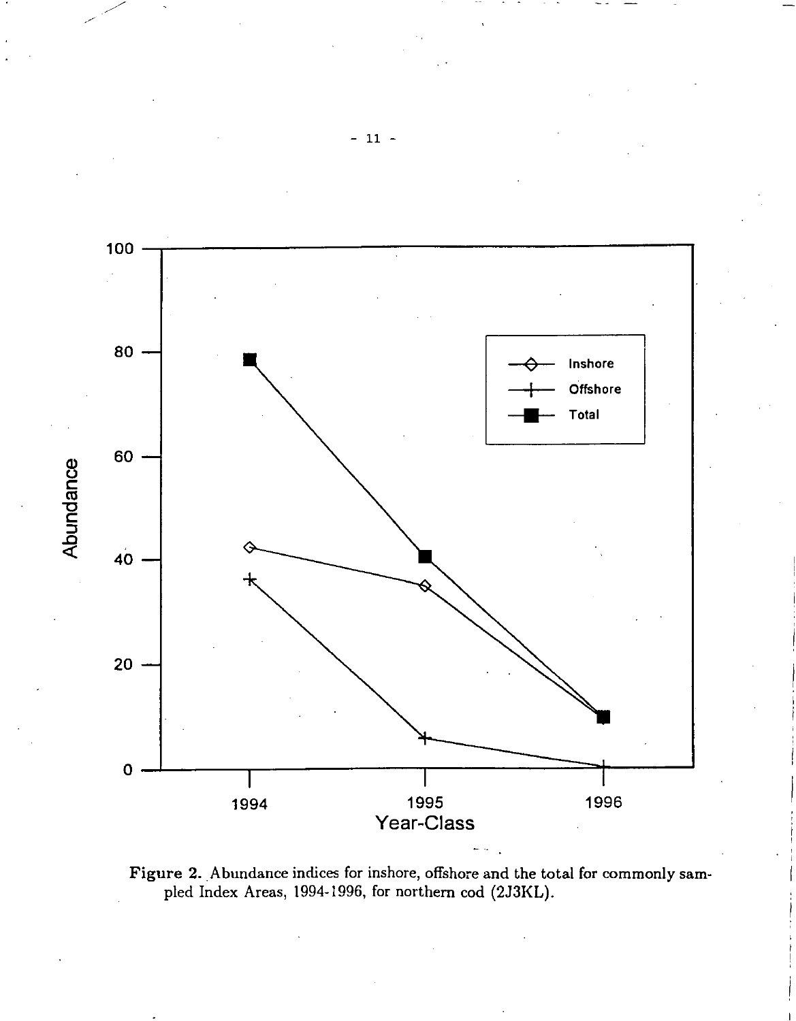



 $-11 -$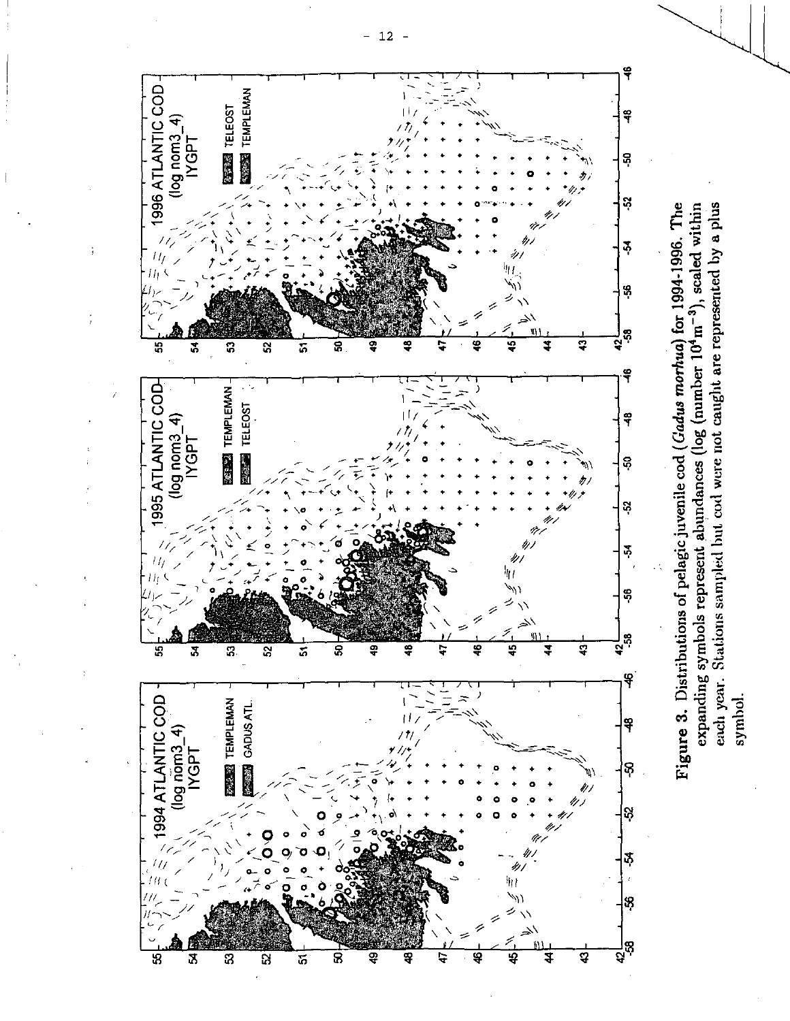

each year. Stations sampled but cod were not caught are represented by a plus Figure 3. Distributions of pelagic juvenile cod (*Gadus morhua*) for 1994-1996. The expanding symbols represent abundances (log (number 10<sup>4</sup>m<sup>-3</sup>), scaled within expanding symbols represent abundances (log (number 10<sup>4</sup>m<sup>-3</sup>), scaled within symbol.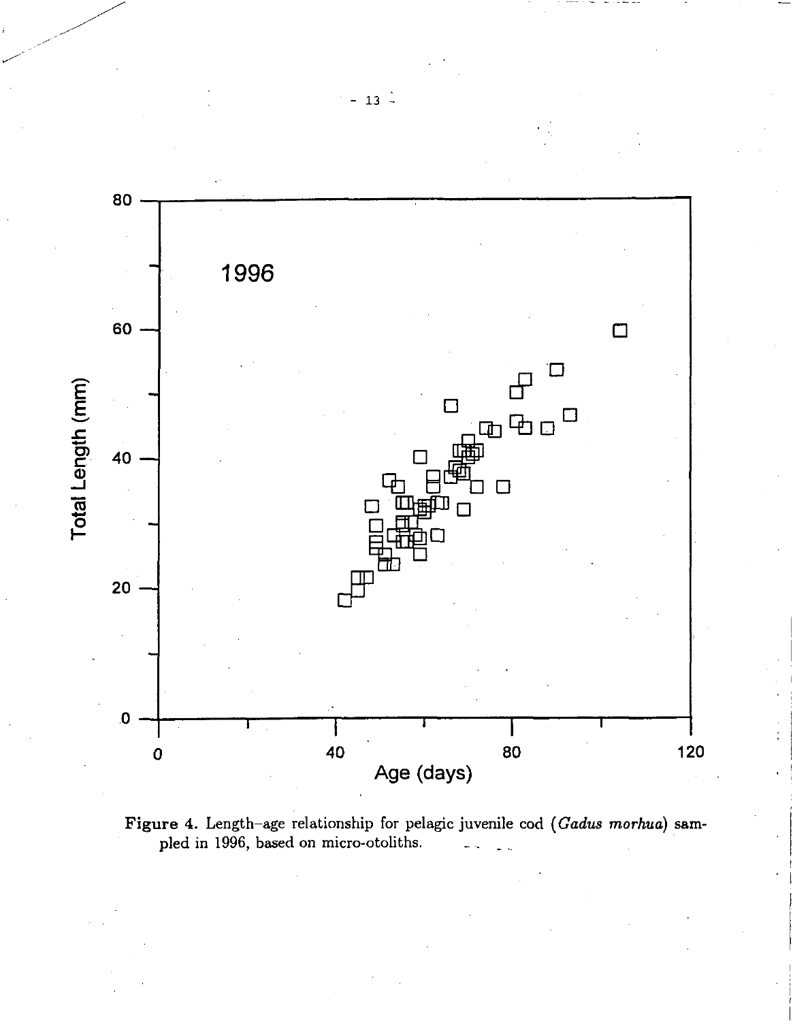

Figure 4. Length—age relationship for pelagic juvenile cod *(Cadus* morhua) sampled in 1996, based on micro-otoliths.

 $- 13 -$